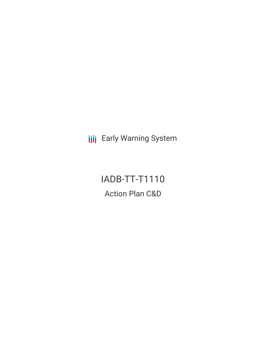**III** Early Warning System

# IADB-TT-T1110 Action Plan C&D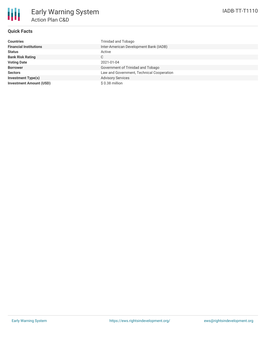

### **Quick Facts**

| <b>Countries</b>               | Trinidad and Tobago                       |
|--------------------------------|-------------------------------------------|
| <b>Financial Institutions</b>  | Inter-American Development Bank (IADB)    |
| <b>Status</b>                  | Active                                    |
| <b>Bank Risk Rating</b>        | C                                         |
| <b>Voting Date</b>             | 2021-01-04                                |
| <b>Borrower</b>                | Government of Trinidad and Tobago         |
| <b>Sectors</b>                 | Law and Government, Technical Cooperation |
| <b>Investment Type(s)</b>      | <b>Advisory Services</b>                  |
| <b>Investment Amount (USD)</b> | $$0.38$ million                           |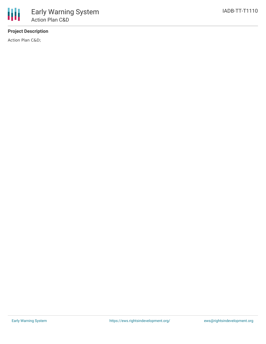## **Project Description**

Action Plan C&D;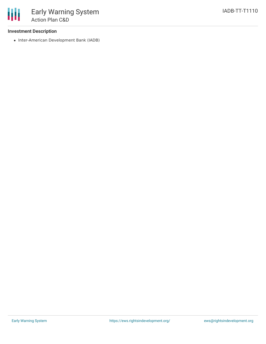#### **Investment Description**

• Inter-American Development Bank (IADB)